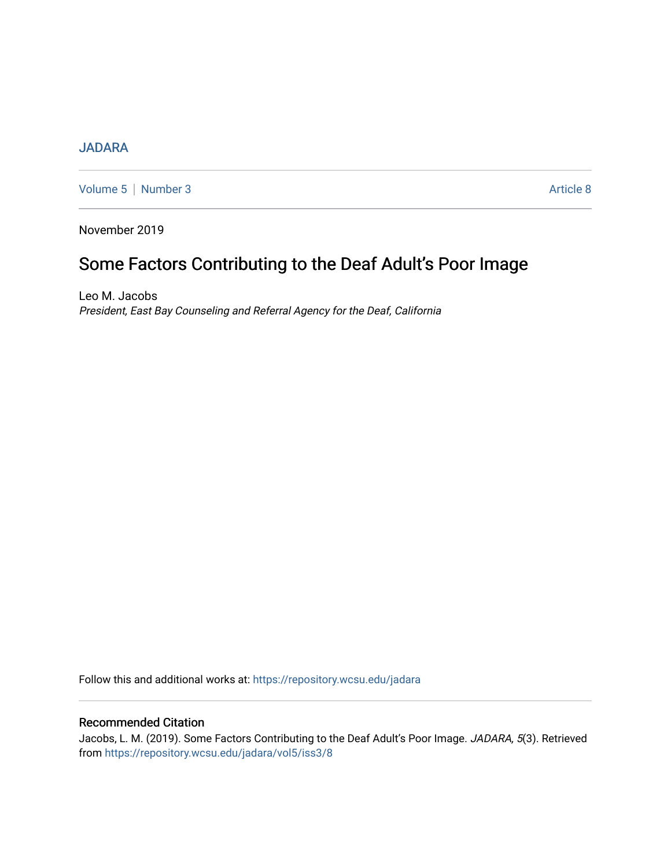### [JADARA](https://repository.wcsu.edu/jadara)

[Volume 5](https://repository.wcsu.edu/jadara/vol5) | [Number 3](https://repository.wcsu.edu/jadara/vol5/iss3) Article 8

November 2019

# Some Factors Contributing to the Deaf Adult's Poor Image

Leo M. Jacobs President, East Bay Counseling and Referral Agency for the Deaf, California

Follow this and additional works at: [https://repository.wcsu.edu/jadara](https://repository.wcsu.edu/jadara?utm_source=repository.wcsu.edu%2Fjadara%2Fvol5%2Fiss3%2F8&utm_medium=PDF&utm_campaign=PDFCoverPages)

### Recommended Citation

Jacobs, L. M. (2019). Some Factors Contributing to the Deaf Adult's Poor Image. JADARA, 5(3). Retrieved from [https://repository.wcsu.edu/jadara/vol5/iss3/8](https://repository.wcsu.edu/jadara/vol5/iss3/8?utm_source=repository.wcsu.edu%2Fjadara%2Fvol5%2Fiss3%2F8&utm_medium=PDF&utm_campaign=PDFCoverPages)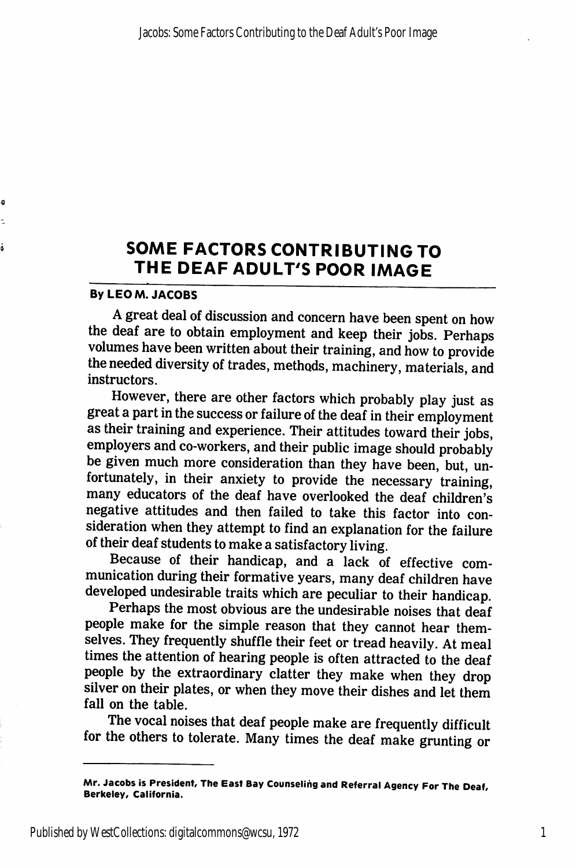## SOME FACTORS CONTRIBUTING TO THE DEAF ADULT'S POOR IMAGE

#### By LEO M. JACOBS

Ð Ł ś

> A great deal of discussion and concern have been spent on how the deaf are to obtain employment and keep their jobs. Perhaps volumes have been written about their training, and how to provide the needed diversity of trades, methods, machinery, materials, and instructors.

> However, there are other factors which probably play just as great a part in the success or failure of the deaf in their employment as their training and experience. Their attitudes toward their jobs, employers and co-workers, and their public image should probably be given much more consideration than they have been, but, un fortunately, in their anxiety to provide the necessary training, many educators of the deaf have overlooked the deaf children's negative attitudes and then failed to take this factor into con sideration when they attempt to find an explanation for the failure of their deaf students to make a satisfactory living.

> Because of their handicap, and a lack of effective com munication during their formative years, many deaf children have developed undesirable traits which are peculiar to their handicap.

> Perhaps the most obvious are the undesirable noises that deaf people make for the simple reason that they cannot hear them selves. They frequently shuffle their feet or tread heavily. At meal times the attention of hearing people is often attracted to the deaf people by the extraordinary clatter they make when they drop silver on their plates, or when they move their dishes and let them fall on the table.

> The vocal noises that deaf people make are frequently difficult for the others to tolerate. Many times the deaf make grunting or

Mr. Jacobs is President, The East Bay Counseling and Referral Agency For The Deaf, Berkeley, California.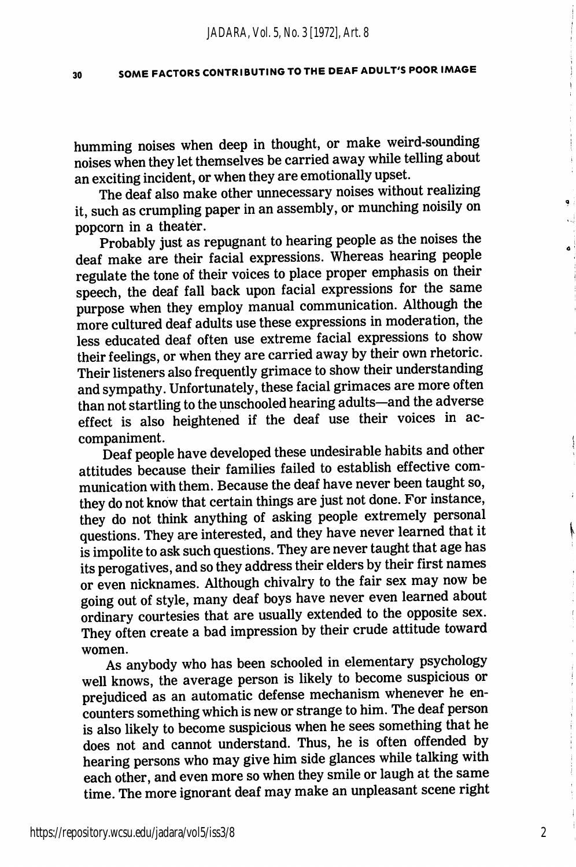### 30 SOME FACTORS CONTRIBUTING TO THE DEAF ADULT'S POOR IMAGE

humming noises when deep in thought, or make weird-sounding noises when they let themselves be carried away while telling about an exciting incident, or when they are emotionally upset.

The deaf also make other unnecessary noises without realizing it, such as crumpling paper in an assembly, or munching noisily on popcorn in a theater.

Probably just as repugnant to hearing people as the noises the deaf make are their facial expressions. Whereas hearing people regulate the tone of their voices to place proper emphasis on their speech, the deaf fall back upon facial expressions for the same purpose when they employ manual communication. Although the more cultured deaf adults use these expressions in moderation, the less educated deaf often use extreme facial expressions to show their feelings, or when they are carried away by their own rhetoric. Their listeners also frequently grimace to show their understanding and sympathy. Unfortunately, these facial grimaces are more often than not startling to the unschooled hearing adults—and the adverse effect is also heightened if the deaf use their voices in ac companiment.

Deaf people have developed these undesirable habits and other attitudes because their families failed to establish effective com munication with them. Because the deaf have never been taught so, they do not know that certain things are just not done. For instance, they do not think anything of asking people extremely personal questions. They are interested, and they have never learned that it is impolite to ask such questions. They are never taught that age has its perogatives, and so they address their elders by their first names or even nicknames. Although chivalry to the fair sex may now be going out of style, many deaf boys have never even learned about ordinary courtesies that are usually extended to the opposite sex. They often create a bad impression by their crude attitude toward women.

As anybody who has been schooled in elementary psychology well knows, the average person is likely to become suspicious or prejudiced as an automatic defense mechanism whenever he en counters something which is new or strange to him. The deaf person is also likely to become suspicious when he sees something that he does not and cannot understand. Thus, he is often offended by hearing persons who may give him side glances while talking with each other, and even more so when they smile or laugh at the same time. The more ignorant deaf may make an unpleasant scene right

2

I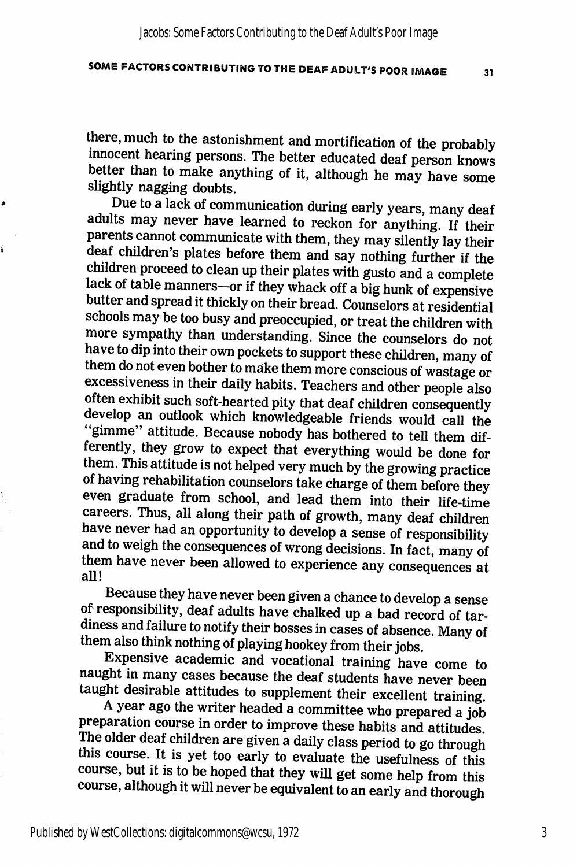### SOME FACTORS CONTRIBUTING TO THE DEAF ADULT'S POOR IMAGE 31

there, much to the astonishment and mortification of the probably innocent hearing persons. The better educated deaf person knows better than to make anything of it, although he may have some slightly nagging doubts.

Due to a lack of communication during early years, many deaf adults may never have learned to reckon for anything. If their parents cannot communicate with them, they may silently lay their deaf children's plates before them and say nothing further if the children proceed to clean up their plates with gusto and a complete lack of table manners—or if they whack off a big hunk of expensive butter and spread it thickly on their bread. Counselors at residential schools may be too busy and preoccupied, or treat the children with more sympathy than understanding. Since the counselors do not have to dip into their own pockets to support these children, many of them do not even bother to make them more conscious of wastage or excessiveness in their daily habits. Teachers and other people also often exhibit such soft-hearted pity that deaf children consequently develop an outlook which knowledgeable friends would call the "gimme" attitude. Because nobody has bothered to tell them dif ferently, they grow to expect that everything would be done for them. This attitude is not helped very much by the growing practice of having rehabilitation counselors take charge of them before they even graduate from school, and lead them into their life-time careers. Thus, all along their path of growth, many deaf children have never had an opportunity to develop a sense of responsibility and to weigh the consequences of wrong decisions. In fact, many of them have never been allowed to experience any consequences at all!

Because they have never been given a chance to develop a sense of responsibility, deaf adults have chalked up a bad record of tar diness and failure to notify their bosses in cases of absence. Many of them also think nothing of playing hookey from their jobs.

Expensive academic and vocational training have come to naught in many cases because the deaf students have never been taught desirable attitudes to supplement their excellent training.

A year ago the writer headed a committee who prepared a job preparation course in order to improve these habits and attitudes. The older deaf children are given a daily class period to go through this course. It is yet too early to evaluate the usefulness of this course, but it is to be hoped that they will get some help from this course, although it will never be equivalent to an early and thorough

ó

é